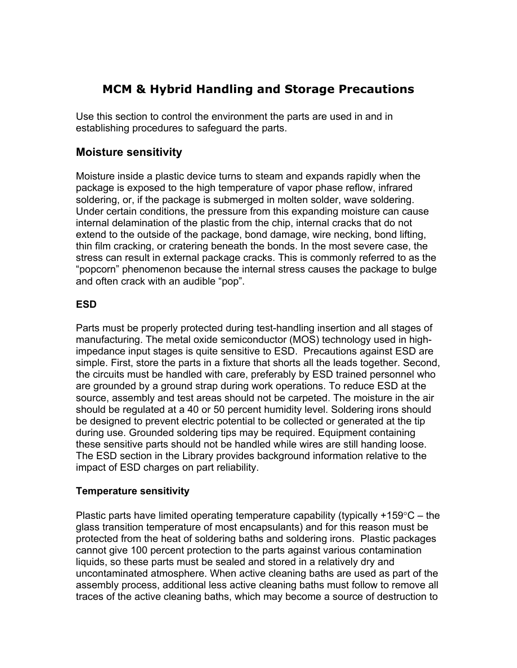## **MCM & Hybrid Handling and Storage Precautions**

Use this section to control the environment the parts are used in and in establishing procedures to safeguard the parts.

## **Moisture sensitivity**

Moisture inside a plastic device turns to steam and expands rapidly when the package is exposed to the high temperature of vapor phase reflow, infrared soldering, or, if the package is submerged in molten solder, wave soldering. Under certain conditions, the pressure from this expanding moisture can cause internal delamination of the plastic from the chip, internal cracks that do not extend to the outside of the package, bond damage, wire necking, bond lifting, thin film cracking, or cratering beneath the bonds. In the most severe case, the stress can result in external package cracks. This is commonly referred to as the "popcorn" phenomenon because the internal stress causes the package to bulge and often crack with an audible "pop".

## **ESD**

Parts must be properly protected during test-handling insertion and all stages of manufacturing. The metal oxide semiconductor (MOS) technology used in highimpedance input stages is quite sensitive to ESD. Precautions against ESD are simple. First, store the parts in a fixture that shorts all the leads together. Second, the circuits must be handled with care, preferably by ESD trained personnel who are grounded by a ground strap during work operations. To reduce ESD at the source, assembly and test areas should not be carpeted. The moisture in the air should be regulated at a 40 or 50 percent humidity level. Soldering irons should be designed to prevent electric potential to be collected or generated at the tip during use. Grounded soldering tips may be required. Equipment containing these sensitive parts should not be handled while wires are still handing loose. The ESD section in the Library provides background information relative to the impact of ESD charges on part reliability.

## **Temperature sensitivity**

Plastic parts have limited operating temperature capability (typically  $+159^{\circ}$ C – the glass transition temperature of most encapsulants) and for this reason must be protected from the heat of soldering baths and soldering irons. Plastic packages cannot give 100 percent protection to the parts against various contamination liquids, so these parts must be sealed and stored in a relatively dry and uncontaminated atmosphere. When active cleaning baths are used as part of the assembly process, additional less active cleaning baths must follow to remove all traces of the active cleaning baths, which may become a source of destruction to